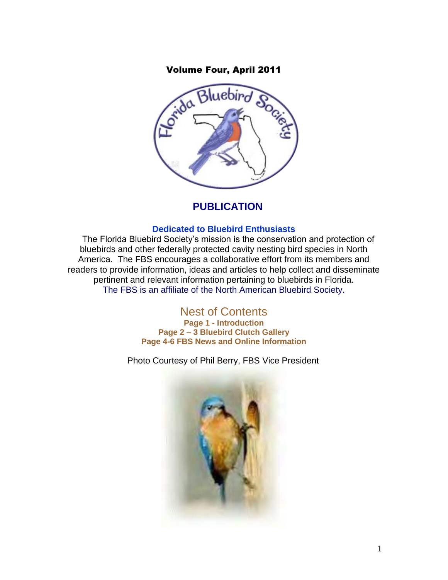

### **PUBLICATION**

#### **Dedicated to Bluebird Enthusiasts**

The Florida Bluebird Society's mission is the conservation and protection of bluebirds and other federally protected cavity nesting bird species in North America. The FBS encourages a collaborative effort from its members and readers to provide information, ideas and articles to help collect and disseminate pertinent and relevant information pertaining to bluebirds in Florida. The FBS is an affiliate of the North American Bluebird Society.

> Nest of Contents **Page 1 - Introduction Page 2 – 3 Bluebird Clutch Gallery Page 4-6 FBS News and Online Information**

Photo Courtesy of Phil Berry, FBS Vice President

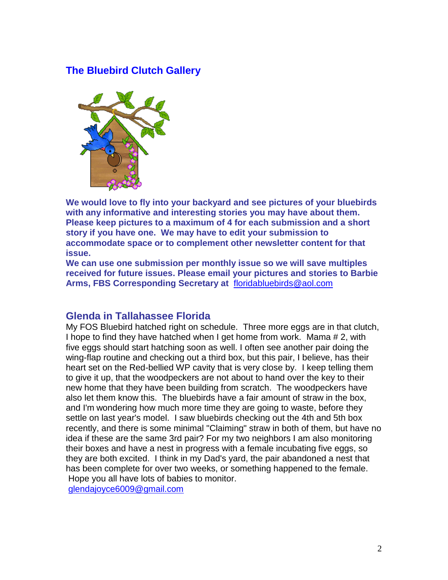## **The Bluebird Clutch Gallery**



**We would love to fly into your backyard and see pictures of your bluebirds with any informative and interesting stories you may have about them. Please keep pictures to a maximum of 4 for each submission and a short story if you have one. We may have to edit your submission to accommodate space or to complement other newsletter content for that issue.**

**We can use one submission per monthly issue so we will save multiples received for future issues. Please email your pictures and stories to Barbie Arms, FBS Corresponding Secretary at** [floridabluebirds@aol.com](mailto:floridabluebirds@aol.com)

#### **Glenda in Tallahassee Florida**

My FOS Bluebird hatched right on schedule. Three more eggs are in that clutch, I hope to find they have hatched when I get home from work. Mama # 2, with five eggs should start hatching soon as well. I often see another pair doing the wing-flap routine and checking out a third box, but this pair, I believe, has their heart set on the Red-bellied WP cavity that is very close by. I keep telling them to give it up, that the woodpeckers are not about to hand over the key to their new home that they have been building from scratch. The woodpeckers have also let them know this. The bluebirds have a fair amount of straw in the box, and I'm wondering how much more time they are going to waste, before they settle on last year's model. I saw bluebirds checking out the 4th and 5th box recently, and there is some minimal "Claiming" straw in both of them, but have no idea if these are the same 3rd pair? For my two neighbors I am also monitoring their boxes and have a nest in progress with a female incubating five eggs, so they are both excited. I think in my Dad's yard, the pair abandoned a nest that has been complete for over two weeks, or something happened to the female. Hope you all have lots of babies to monitor.

[glendajoyce6009@gmail.com](mailto:glendajoyce6009@gmail.com)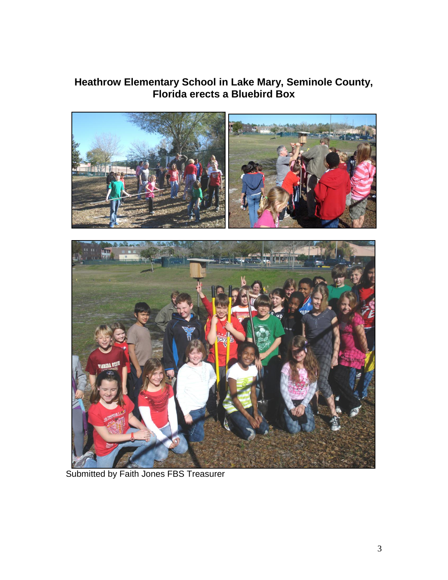## **Heathrow Elementary School in Lake Mary, Seminole County, Florida erects a Bluebird Box**



Submitted by Faith Jones FBS Treasurer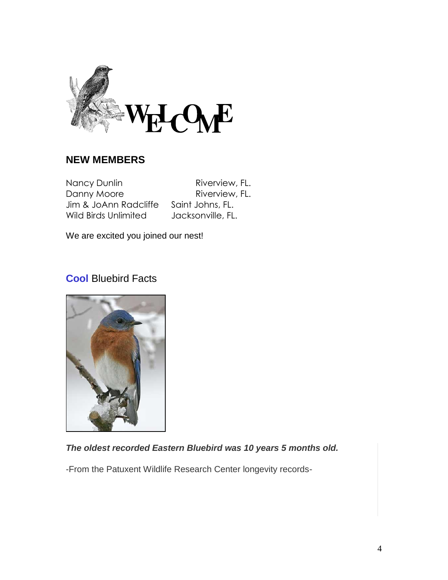

## **NEW MEMBERS**

Nancy Dunlin Riverview, FL. Danny Moore Riverview, FL. Jim & JoAnn Radcliffe Saint Johns, FL. Wild Birds Unlimited Jacksonville, FL.

We are excited you joined our nest!

## **Cool** Bluebird Facts



## *The oldest recorded Eastern Bluebird was 10 years 5 months old.*

-From the Patuxent Wildlife Research Center longevity records-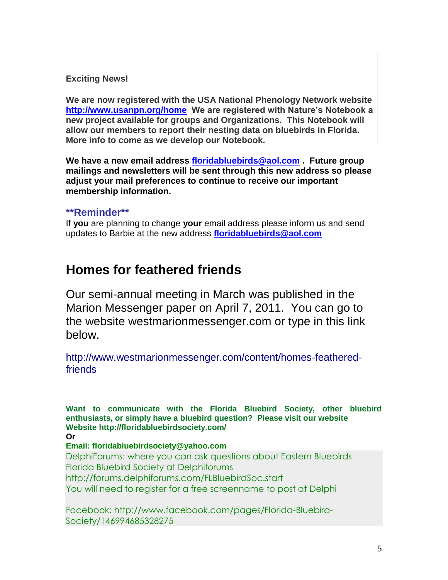#### **Exciting News!**

**We are now registered with the USA National Phenology Network website <http://www.usanpn.org/home>We are registered with Nature's Notebook a new project available for groups and Organizations. This Notebook will allow our members to report their nesting data on bluebirds in Florida. More info to come as we develop our Notebook.**

**We have a new email address [floridabluebirds@aol.com](mailto:floridabluebirds@aol.com) . Future group mailings and newsletters will be sent through this new address so please adjust your mail preferences to continue to receive our important membership information.** 

#### **\*\*Reminder\*\***

If **you** are planning to change **your** email address please inform us and send updates to Barbie at the new address **[floridabluebirds@aol.com](mailto:floridabluebirds@aol.com)**

# **Homes for feathered friends**

Our semi-annual meeting in March was published in the Marion Messenger paper on April 7, 2011. You can go to the website westmarionmessenger.com or type in this link below.

http://www.westmarionmessenger.com/content/homes-featheredfriends

**Want to communicate with the Florida Bluebird Society, other bluebird enthusiasts, or simply have a bluebird question? Please visit our website Website http://floridabluebirdsociety.com/ Or Email: floridabluebirdsociety@yahoo.com** DelphiForums: where you can ask questions about Eastern Bluebirds Florida Bluebird Society at Delphiforums http://forums.delphiforums.com/FLBluebirdSoc.start You will need to register for a free screenname to post at Delphi

Facebook: http://www.facebook.com/pages/Florida-Bluebird-Society/146994685328275